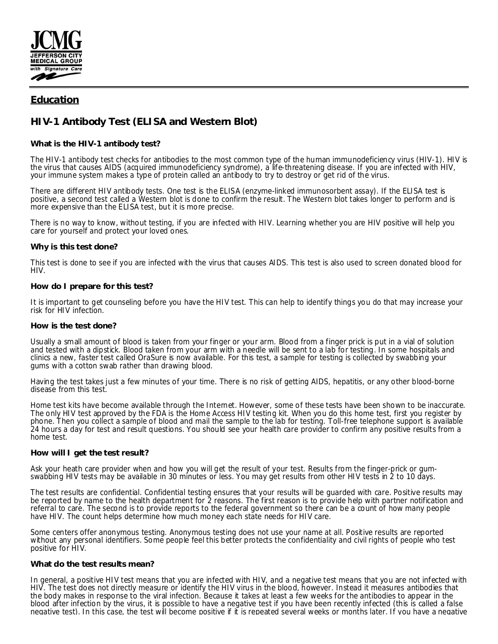

# **Education**

# **HIV-1 Antibody Test (ELISA and Western Blot)**

# **What is the HIV-1 antibody test?**

The HIV-1 antibody test checks for antibodies to the most common type of the human immunodeficiency virus (HIV-1). HIV is the virus that causes AIDS (acquired immunodeficiency syndrome), a life-threatening disease. If you are infected with HIV, your immune system makes a type of protein called an antibody to try to destroy or get rid of the virus.

There are different HIV antibody tests. One test is the ELISA (enzyme-linked immunosorbent assay). If the ELISA test is positive, a second test called a Western blot is done to confirm the result. The Western blot takes longer to perform and is more expensive than the ELISA test, but it is more precise.

There is no way to know, without testing, if you are infected with HIV. Learning whether you are HIV positive will help you care for yourself and protect your loved ones.

# **Why is this test done?**

This test is done to see if you are infected with the virus that causes AIDS. This test is also used to screen donated blood for HIV.

# **How do I prepare for this test?**

It is important to get counseling before you have the HIV test. This can help to identify things you do that may increase your risk for HIV infection.

### **How is the test done?**

Usually a small amount of blood is taken from your finger or your arm. Blood from a finger prick is put in a vial of solution and tested with a dipstick. Blood taken from your arm with a needle will be sent to a lab for testing. In some hospitals and clinics a new, faster test called OraSure is now available. For this test, a sample for testing is collected by swabbing your gums with a cotton swab rather than drawing blood.

Having the test takes just a few minutes of your time. There is no risk of getting AIDS, hepatitis, or any other blood-borne disease from this test.

Home test kits have become available through the Internet. However, some of these tests have been shown to be inaccurate. The only HIV test approved by the FDA is the Home Access HIV testing kit. When you do this home test, first you register by phone. Then you collect a sample of blood and mail the sample to the lab for testing. Toll-free telephone support is available 24 hours a day for test and result questions. You should see your health care provider to confirm any positive results from a home test.

### **How will I get the test result?**

Ask your heath care provider when and how you will get the result of your test. Results from the finger-prick or gumswabbing HIV tests may be available in 30 minutes or less. You may get results from other HIV tests in 2 to 10 days.

The test results are confidential. Confidential testing ensures that your results will be guarded with care. Positive results may be reported by name to the health department for 2 reasons. The first reason is to provide help with partner notification and referral to care. The second is to provide reports to the federal government so there can be a count of how many people have HIV. The count helps determine how much money each state needs for HIV care.

Some centers offer anonymous testing. Anonymous testing does not use your name at all. Positive results are reported without any personal identifiers. Some people feel this better protects the confidentiality and civil rights of people who test positive for HIV.

### **What do the test results mean?**

In general, a positive HIV test means that you are infected with HIV, and a negative test means that you are not infected with HIV. The test does not directly measure or identify the HIV virus in the blood, however. Instead it measures antibodies that the body makes in response to the viral infection. Because it takes at least a few weeks for the antibodies to appear in the blood after infection by the virus, it is possible to have a negative test if you have been recently infected (this is called a false negative test). In this case, the test will become positive if it is repeated several weeks or months later. If you have a negative